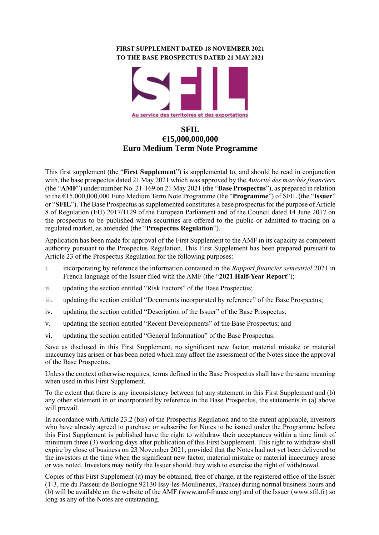## **FIRST SUPPLEMENT DATED 18 NOVEMBER 2021 TO THE BASE PROSPECTUS DATED 21 MAY 2021**



# **SFIL €15,000,000,000 Euro Medium Term Note Programme**

This first supplement (the "**First Supplement**") is supplemental to, and should be read in conjunction with, the base prospectus dated 21 May 2021 which was approved by the *Autorité des marchés financiers*  (the "**AMF**") under number No. 21-169 on 21 May 2021 (the "**Base Prospectus**"), as prepared in relation to the €15,000,000,000 Euro Medium Term Note Programme (the "**Programme**") of SFIL (the "**Issuer**" or "**SFIL**"). The Base Prospectus as supplemented constitutes a base prospectus for the purpose of Article 8 of Regulation (EU) 2017/1129 of the European Parliament and of the Council dated 14 June 2017 on the prospectus to be published when securities are offered to the public or admitted to trading on a regulated market, as amended (the "**Prospectus Regulation**").

Application has been made for approval of the First Supplement to the AMF in its capacity as competent authority pursuant to the Prospectus Regulation. This First Supplement has been prepared pursuant to Article 23 of the Prospectus Regulation for the following purposes:

- i. incorporating by reference the information contained in the *Rapport financier semestriel* 2021 in French language of the Issuer filed with the AMF (the "**2021 Half-Year Report**");
- ii. updating the section entitled "Risk Factors" of the Base Prospectus;
- iii. updating the section entitled "Documents incorporated by reference" of the Base Prospectus;
- iv. updating the section entitled "Description of the Issuer" of the Base Prospectus;
- v. updating the section entitled "Recent Developments" of the Base Prospectus; and
- vi. updating the section entitled "General Information" of the Base Prospectus.

Save as disclosed in this First Supplement, no significant new factor, material mistake or material inaccuracy has arisen or has been noted which may affect the assessment of the Notes since the approval of the Base Prospectus.

Unless the context otherwise requires, terms defined in the Base Prospectus shall have the same meaning when used in this First Supplement.

To the extent that there is any inconsistency between (a) any statement in this First Supplement and (b) any other statement in or incorporated by reference in the Base Prospectus, the statements in (a) above will prevail.

In accordance with Article 23.2 (bis) of the Prospectus Regulation and to the extent applicable, investors who have already agreed to purchase or subscribe for Notes to be issued under the Programme before this First Supplement is published have the right to withdraw their acceptances within a time limit of minimum three (3) working days after publication of this First Supplement. This right to withdraw shall expire by close of business on 23 November 2021, provided that the Notes had not yet been delivered to the investors at the time when the significant new factor, material mistake or material inaccuracy arose or was noted. Investors may notify the Issuer should they wish to exercise the right of withdrawal.

Copies of this First Supplement (a) may be obtained, free of charge, at the registered office of the Issuer (1-3, rue du Passeur de Boulogne 92130 Issy-les-Moulineaux, France) during normal business hours and (b) will be available on the website of the AMF (www.amf-france.org) and of the Issuer (www.sfil.fr) so long as any of the Notes are outstanding.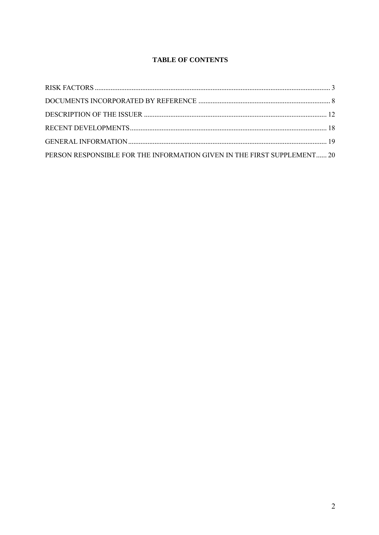## **TABLE OF CONTENTS**

| PERSON RESPONSIBLE FOR THE INFORMATION GIVEN IN THE FIRST SUPPLEMENT 20 |  |
|-------------------------------------------------------------------------|--|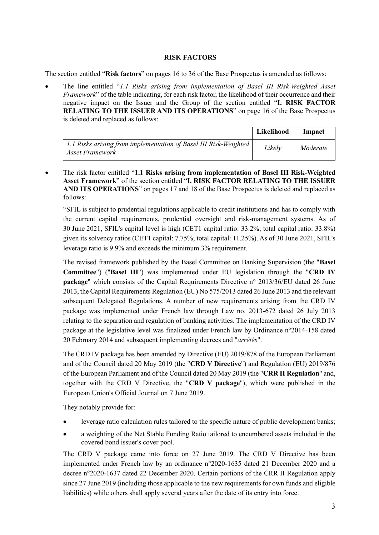## **RISK FACTORS**

<span id="page-2-0"></span>The section entitled "**Risk factors**" on pages 16 to 36 of the Base Prospectus is amended as follows:

• The line entitled "*1.1 Risks arising from implementation of Basel III Risk-Weighted Asset Framework*" of the table indicating, for each risk factor, the likelihood of their occurrence and their negative impact on the Issuer and the Group of the section entitled "**I. RISK FACTOR RELATING TO THE ISSUER AND ITS OPERATIONS**" on page 16 of the Base Prospectus is deleted and replaced as follows:

|                                                                                     | Likelihood | Impact   |
|-------------------------------------------------------------------------------------|------------|----------|
| 1.1 Risks arising from implementation of Basel III Risk-Weighted<br>Asset Framework | Likelv     | Moderate |

• The risk factor entitled "**1.1 Risks arising from implementation of Basel III Risk-Weighted Asset Framework**" of the section entitled "**I. RISK FACTOR RELATING TO THE ISSUER AND ITS OPERATIONS**" on pages 17 and 18 of the Base Prospectus is deleted and replaced as follows:

"SFIL is subject to prudential regulations applicable to credit institutions and has to comply with the current capital requirements, prudential oversight and risk-management systems. As of 30 June 2021, SFIL's capital level is high (CET1 capital ratio: 33.2%; total capital ratio: 33.8%) given its solvency ratios (CET1 capital: 7.75%; total capital: 11.25%). As of 30 June 2021, SFIL's leverage ratio is 9.9% and exceeds the minimum 3% requirement.

The revised framework published by the Basel Committee on Banking Supervision (the "**Basel Committee**") ("**Basel III**") was implemented under EU legislation through the "**CRD IV package**" which consists of the Capital Requirements Directive n° 2013/36/EU dated 26 June 2013, the Capital Requirements Regulation (EU) No 575/2013 dated 26 June 2013 and the relevant subsequent Delegated Regulations. A number of new requirements arising from the CRD IV package was implemented under French law through Law no. 2013-672 dated 26 July 2013 relating to the separation and regulation of banking activities. The implementation of the CRD IV package at the legislative level was finalized under French law by Ordinance n°2014-158 dated 20 February 2014 and subsequent implementing decrees and "*arrêtés*".

The CRD IV package has been amended by Directive (EU) 2019/878 of the European Parliament and of the Council dated 20 May 2019 (the "**CRD V Directive**") and Regulation (EU) 2019/876 of the European Parliament and of the Council dated 20 May 2019 (the "**CRR II Regulation**" and, together with the CRD V Directive, the "**CRD V package**"), which were published in the European Union's Official Journal on 7 June 2019.

They notably provide for:

- leverage ratio calculation rules tailored to the specific nature of public development banks;
- a weighting of the Net Stable Funding Ratio tailored to encumbered assets included in the covered bond issuer's cover pool.

The CRD V package came into force on 27 June 2019. The CRD V Directive has been implemented under French law by an ordinance n°2020-1635 dated 21 December 2020 and a decree n°2020-1637 dated 22 December 2020. Certain portions of the CRR II Regulation apply since 27 June 2019 (including those applicable to the new requirements for own funds and eligible liabilities) while others shall apply several years after the date of its entry into force.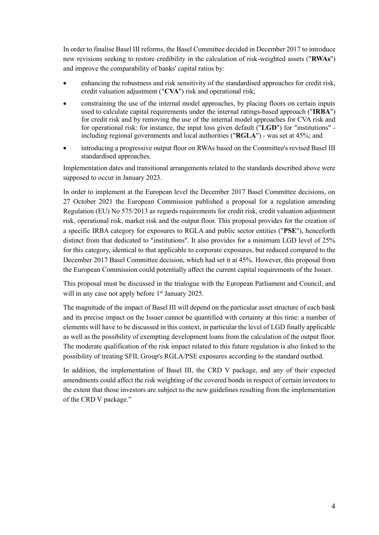In order to finalise Basel III reforms, the Basel Committee decided in December 2017 to introduce new revisions seeking to restore credibility in the calculation of risk-weighted assets ("**RWAs**") and improve the comparability of banks' capital ratios by:

- enhancing the robustness and risk sensitivity of the standardised approaches for credit risk, credit valuation adjustment ("**CVA**") risk and operational risk;
- constraining the use of the internal model approaches, by placing floors on certain inputs used to calculate capital requirements under the internal ratings-based approach ("**IRBA**") for credit risk and by removing the use of the internal model approaches for CVA risk and for operational risk: for instance, the input loss given default ("**LGD**") for "institutions" including regional governments and local authorities ("**RGLA**") - was set at 45%; and
- introducing a progressive output floor on RWAs based on the Committee's revised Basel III standardised approaches.

Implementation dates and transitional arrangements related to the standards described above were supposed to occur in January 2023.

In order to implement at the European level the December 2017 Basel Committee decisions, on 27 October 2021 the European Commission published a proposal for a regulation amending Regulation (EU) No 575/2013 as regards requirements for credit risk, credit valuation adjustment risk, operational risk, market risk and the output floor. This proposal provides for the creation of a specific IRBA category for exposures to RGLA and public sector entities ("**PSE**"), henceforth distinct from that dedicated to "institutions". It also provides for a minimum LGD level of 25% for this category, identical to that applicable to corporate exposures, but reduced compared to the December 2017 Basel Committee decision, which had set it at 45%. However, this proposal from the European Commission could potentially affect the current capital requirements of the Issuer.

This proposal must be discussed in the trialogue with the European Parliament and Council, and will in any case not apply before 1<sup>st</sup> January 2025.

The magnitude of the impact of Basel III will depend on the particular asset structure of each bank and its precise impact on the Issuer cannot be quantified with certainty at this time: a number of elements will have to be discussed in this context, in particular the level of LGD finally applicable as well as the possibility of exempting development loans from the calculation of the output floor. The moderate qualification of the risk impact related to this future regulation is also linked to the possibility of treating SFIL Group's RGLA/PSE exposures according to the standard method.

In addition, the implementation of Basel III, the CRD V package, and any of their expected amendments could affect the risk weighting of the covered bonds in respect of certain investors to the extent that those investors are subject to the new guidelines resulting from the implementation of the CRD V package."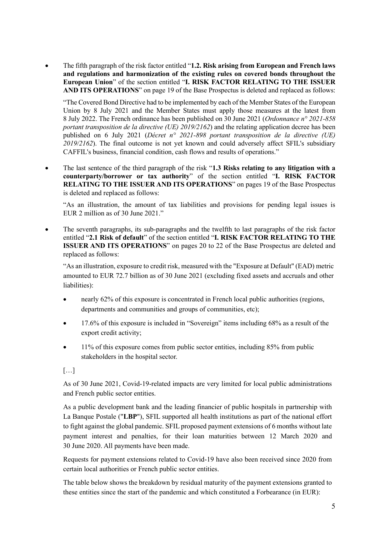• The fifth paragraph of the risk factor entitled "**1.2. Risk arising from European and French laws and regulations and harmonization of the existing rules on covered bonds throughout the European Union**" of the section entitled "**I. RISK FACTOR RELATING TO THE ISSUER AND ITS OPERATIONS**" on page 19 of the Base Prospectus is deleted and replaced as follows:

"The Covered Bond Directive had to be implemented by each of the Member States of the European Union by 8 July 2021 and the Member States must apply those measures at the latest from 8 July 2022. The French ordinance has been published on 30 June 2021 (*Ordonnance n° 2021-858 portant transposition de la directive (UE) 2019/2162*) and the relating application decree has been published on 6 July 2021 (*Décret n° 2021-898 portant transposition de la directive (UE) 2019/2162*). The final outcome is not yet known and could adversely affect SFIL's subsidiary CAFFIL's business, financial condition, cash flows and results of operations."

• The last sentence of the third paragraph of the risk "**1.3 Risks relating to any litigation with a counterparty/borrower or tax authority**" of the section entitled "**I. RISK FACTOR RELATING TO THE ISSUER AND ITS OPERATIONS**" on pages 19 of the Base Prospectus is deleted and replaced as follows:

"As an illustration, the amount of tax liabilities and provisions for pending legal issues is EUR 2 million as of 30 June 2021."

• The seventh paragraphs, its sub-paragraphs and the twelfth to last paragraphs of the risk factor entitled "**2.1 Risk of default**" of the section entitled "**I. RISK FACTOR RELATING TO THE ISSUER AND ITS OPERATIONS**" on pages 20 to 22 of the Base Prospectus are deleted and replaced as follows:

"As an illustration, exposure to credit risk, measured with the "Exposure at Default" (EAD) metric amounted to EUR 72.7 billion as of 30 June 2021 (excluding fixed assets and accruals and other liabilities):

- nearly 62% of this exposure is concentrated in French local public authorities (regions, departments and communities and groups of communities, etc);
- 17.6% of this exposure is included in "Sovereign" items including 68% as a result of the export credit activity;
- 11% of this exposure comes from public sector entities, including 85% from public stakeholders in the hospital sector.

## […]

As of 30 June 2021, Covid-19-related impacts are very limited for local public administrations and French public sector entities.

As a public development bank and the leading financier of public hospitals in partnership with La Banque Postale ("**LBP**"), SFIL supported all health institutions as part of the national effort to fight against the global pandemic. SFIL proposed payment extensions of 6 months without late payment interest and penalties, for their loan maturities between 12 March 2020 and 30 June 2020. All payments have been made.

Requests for payment extensions related to Covid-19 have also been received since 2020 from certain local authorities or French public sector entities.

The table below shows the breakdown by residual maturity of the payment extensions granted to these entities since the start of the pandemic and which constituted a Forbearance (in EUR):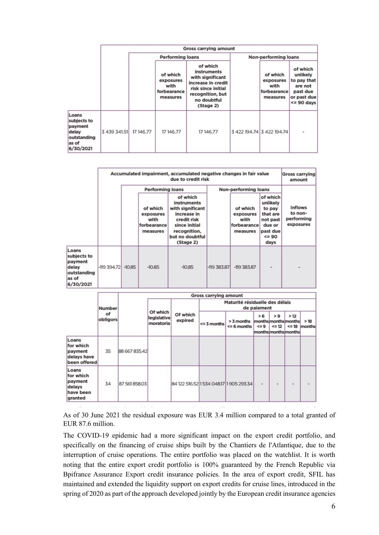|                                                                               |              | <b>Gross carrying amount</b> |                                                          |                                                                                                                                         |  |                                                          |                                                                                             |  |
|-------------------------------------------------------------------------------|--------------|------------------------------|----------------------------------------------------------|-----------------------------------------------------------------------------------------------------------------------------------------|--|----------------------------------------------------------|---------------------------------------------------------------------------------------------|--|
|                                                                               |              |                              | <b>Performing loans</b>                                  |                                                                                                                                         |  | Non-performing loans                                     |                                                                                             |  |
|                                                                               |              |                              | of which<br>exposures<br>with<br>forbearance<br>measures | of which<br>instruments<br>with significant<br>increase in credit<br>risk since initial<br>recognition, but<br>no doubtful<br>(Stage 2) |  | of which<br>exposures<br>with<br>forbearance<br>measures | of which<br>unlikely<br>to pay that<br>are not<br>past due<br>or past due<br>$\leq$ 90 days |  |
| Loans<br>subjects to<br>payment<br>delay<br>outstanding<br>as of<br>6/30/2021 | 3 439 341.51 | 17 146.77                    | 17 146.77                                                | 17146.77                                                                                                                                |  | 3 422 194.74 3 422 194.74                                |                                                                                             |  |

|                                                                               | Accumulated impairment, accumulated negative changes in fair value<br>due to credit risk |          |                                                          |                                                                                                                                            |                                                          |                      |                                                                                                   | Gross carrying<br>amount                             |
|-------------------------------------------------------------------------------|------------------------------------------------------------------------------------------|----------|----------------------------------------------------------|--------------------------------------------------------------------------------------------------------------------------------------------|----------------------------------------------------------|----------------------|---------------------------------------------------------------------------------------------------|------------------------------------------------------|
|                                                                               |                                                                                          |          | <b>Performing loans</b>                                  |                                                                                                                                            |                                                          | Non-performing loans |                                                                                                   |                                                      |
|                                                                               |                                                                                          |          | of which<br>exposures<br>with<br>forbearance<br>measures | of which<br>instruments<br>with significant<br>increase in<br>credit risk<br>since initial<br>recognition,<br>but no doubtful<br>(Stage 2) | of which<br>exposures<br>with<br>forbearance<br>measures |                      | of which<br>unlikely<br>to pay<br>that are<br>not past<br>due or<br>past due<br>$\leq$ 90<br>days | <b>Inflows</b><br>to non-<br>performing<br>exposures |
| Loans<br>subjects to<br>payment<br>delay<br>outstanding<br>as of<br>6/30/2021 | $-119394.72$                                                                             | $-10.85$ | $-10.85$                                                 | $-10.85$                                                                                                                                   | $-119.383.87$                                            | $-119.383.87$        |                                                                                                   |                                                      |

|                                                                 |                |               | <b>Gross carrying amount</b> |                                         |                                               |                |                               |                   |                                                           |     |                             |
|-----------------------------------------------------------------|----------------|---------------|------------------------------|-----------------------------------------|-----------------------------------------------|----------------|-------------------------------|-------------------|-----------------------------------------------------------|-----|-----------------------------|
|                                                                 | Number         |               |                              |                                         | Maturité résiduelle des délais<br>de paiement |                |                               |                   |                                                           |     |                             |
|                                                                 | оf<br>obligors |               |                              | Of which<br>legislative<br>moratoria    | Of which<br>expired                           | $<$ = 3 months | > 3 months<br>$\leq$ 6 months | > 6<br>$\leq$ = 9 | >9<br>monthsmoonthsmonths<br>$= 12$<br>monthsmonthsmonths | >12 | >18<br>$\leq$ = 18   months |
| Loans<br>for which<br>payment<br>delays have<br>been offered    | 35             | 88 667 835.42 |                              |                                         |                                               |                |                               |                   |                                                           |     |                             |
| Loans<br>for which<br>payment<br>delays<br>have been<br>granted | 34             | 87 561 858.03 |                              | 84 122 516.52 1 534 048.17 1 905 293.34 |                                               |                | -                             |                   |                                                           |     |                             |

As of 30 June 2021 the residual exposure was EUR 3.4 million compared to a total granted of EUR 87.6 million.

The COVID-19 epidemic had a more significant impact on the export credit portfolio, and specifically on the financing of cruise ships built by the Chantiers de l'Atlantique, due to the interruption of cruise operations. The entire portfolio was placed on the watchlist. It is worth noting that the entire export credit portfolio is 100% guaranteed by the French Republic via Bpifrance Assurance Export credit insurance policies. In the area of export credit, SFIL has maintained and extended the liquidity support on export credits for cruise lines, introduced in the spring of 2020 as part of the approach developed jointly by the European credit insurance agencies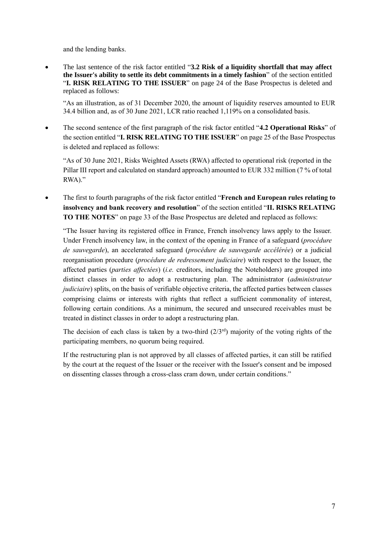and the lending banks.

• The last sentence of the risk factor entitled "**3.2 Risk of a liquidity shortfall that may affect the Issuer's ability to settle its debt commitments in a timely fashion**" of the section entitled "**I. RISK RELATING TO THE ISSUER**" on page 24 of the Base Prospectus is deleted and replaced as follows:

"As an illustration, as of 31 December 2020, the amount of liquidity reserves amounted to EUR 34.4 billion and, as of 30 June 2021, LCR ratio reached 1,119% on a consolidated basis.

• The second sentence of the first paragraph of the risk factor entitled "**4.2 Operational Risks**" of the section entitled "**I. RISK RELATING TO THE ISSUER**" on page 25 of the Base Prospectus is deleted and replaced as follows:

"As of 30 June 2021, Risks Weighted Assets (RWA) affected to operational risk (reported in the Pillar III report and calculated on standard approach) amounted to EUR 332 million (7 % of total RWA)."

• The first to fourth paragraphs of the risk factor entitled "**French and European rules relating to insolvency and bank recovery and resolution**" of the section entitled "**II. RISKS RELATING TO THE NOTES**" on page 33 of the Base Prospectus are deleted and replaced as follows:

"The Issuer having its registered office in France, French insolvency laws apply to the Issuer. Under French insolvency law, in the context of the opening in France of a safeguard (*procédure de sauvegarde*), an accelerated safeguard (*procédure de sauvegarde accélérée*) or a judicial reorganisation procedure (*procédure de redressement judiciaire*) with respect to the Issuer, the affected parties (*parties affectées*) (*i.e.* creditors, including the Noteholders) are grouped into distinct classes in order to adopt a restructuring plan. The administrator (*administrateur judiciaire*) splits, on the basis of verifiable objective criteria, the affected parties between classes comprising claims or interests with rights that reflect a sufficient commonality of interest, following certain conditions. As a minimum, the secured and unsecured receivables must be treated in distinct classes in order to adopt a restructuring plan.

The decision of each class is taken by a two-third  $(2/3<sup>rd</sup>)$  majority of the voting rights of the participating members, no quorum being required.

If the restructuring plan is not approved by all classes of affected parties, it can still be ratified by the court at the request of the Issuer or the receiver with the Issuer's consent and be imposed on dissenting classes through a cross-class cram down, under certain conditions."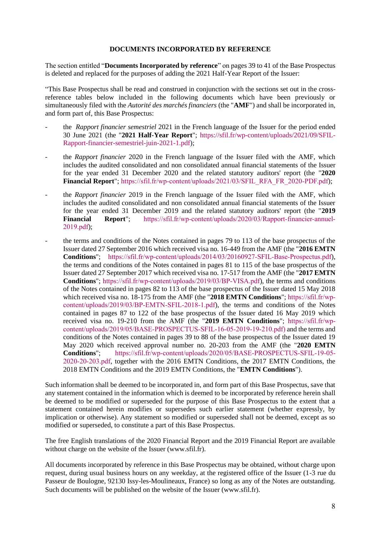## **DOCUMENTS INCORPORATED BY REFERENCE**

<span id="page-7-0"></span>The section entitled "**Documents Incorporated by reference**" on pages 39 to 41 of the Base Prospectus is deleted and replaced for the purposes of adding the 2021 Half-Year Report of the Issuer:

"This Base Prospectus shall be read and construed in conjunction with the sections set out in the crossreference tables below included in the following documents which have been previously or simultaneously filed with the *Autorité des marchés financiers* (the "**AMF**") and shall be incorporated in, and form part of, this Base Prospectus:

- the *Rapport financier semestriel* 2021 in the French language of the Issuer for the period ended 30 June 2021 (the "**2021 Half-Year Report**"; [https://sfil.fr/wp-content/uploads/2021/09/SFIL-](https://sfil.fr/wp-content/uploads/2021/09/SFIL-Rapport-financier-semestriel-juin-2021-1.pdf)[Rapport-financier-semestriel-juin-2021-1.pdf\)](https://sfil.fr/wp-content/uploads/2021/09/SFIL-Rapport-financier-semestriel-juin-2021-1.pdf);
- the *Rapport financier* 2020 in the French language of the Issuer filed with the AMF, which includes the audited consolidated and non consolidated annual financial statements of the Issuer for the year ended 31 December 2020 and the related statutory auditors' report (the "**2020 Financial Report**"; [https://sfil.fr/wp-content/uploads/2021/03/SFIL\\_RFA\\_FR\\_2020-PDF.pdf\)](https://sfil.fr/wp-content/uploads/2021/03/SFIL_RFA_FR_2020-PDF.pdf);
- the *Rapport financier* 2019 in the French language of the Issuer filed with the AMF, which includes the audited consolidated and non consolidated annual financial statements of the Issuer for the year ended 31 December 2019 and the related statutory auditors' report (the "**2019 Financial Report**"; [https://sfil.fr/wp-content/uploads/2020/03/Rapport-financier-annuel-](https://sfil.fr/wp-content/uploads/2020/03/Rapport-financier-annuel-2019.pdf)[2019.pdf\)](https://sfil.fr/wp-content/uploads/2020/03/Rapport-financier-annuel-2019.pdf);
- the terms and conditions of the Notes contained in pages 79 to 113 of the base prospectus of the Issuer dated 27 September 2016 which received visa no. 16-449 from the AMF (the "**2016 EMTN Conditions**"; [https://sfil.fr/wp-content/uploads/2014/03/20160927-SFIL-Base-Prospectus.pdf\)](https://sfil.fr/wp-content/uploads/2014/03/20160927-SFIL-Base-Prospectus.pdf), the terms and conditions of the Notes contained in pages 81 to 115 of the base prospectus of the Issuer dated 27 September 2017 which received visa no. 17-517 from the AMF (the "**2017 EMTN Conditions**"; [https://sfil.fr/wp-content/uploads/2019/03/BP-VISA.pdf\)](https://sfil.fr/wp-content/uploads/2019/03/BP-VISA.pdf), the terms and conditions of the Notes contained in pages 82 to 113 of the base prospectus of the Issuer dated 15 May 2018 which received visa no. 18-175 from the AMF (the "**2018 EMTN Conditions**"; [https://sfil.fr/wp](https://sfil.fr/wp-content/uploads/2019/03/BP-EMTN-SFIL-2018-1.pdf)[content/uploads/2019/03/BP-EMTN-SFIL-2018-1.pdf\)](https://sfil.fr/wp-content/uploads/2019/03/BP-EMTN-SFIL-2018-1.pdf), the terms and conditions of the Notes contained in pages 87 to 122 of the base prospectus of the Issuer dated 16 May 2019 which received visa no. 19-210 from the AMF (the "**2019 EMTN Conditions**"; [https://sfil.fr/wp](https://sfil.fr/wp-content/uploads/2019/05/BASE-PROSPECTUS-SFIL-16-05-2019-19-210.pdf)[content/uploads/2019/05/BASE-PROSPECTUS-SFIL-16-05-2019-19-210.pdf\)](https://sfil.fr/wp-content/uploads/2019/05/BASE-PROSPECTUS-SFIL-16-05-2019-19-210.pdf) and the terms and conditions of the Notes contained in pages 39 to 88 of the base prospectus of the Issuer dated 19 May 2020 which received approval number no. 20-203 from the AMF (the "**2020 EMTN Conditions**"; [https://sfil.fr/wp-content/uploads/2020/05/BASE-PROSPECTUS-SFIL-19-05-](https://sfil.fr/wp-content/uploads/2020/05/BASE-PROSPECTUS-SFIL-19-05-2020-20-203.pdf) [2020-20-203.pdf,](https://sfil.fr/wp-content/uploads/2020/05/BASE-PROSPECTUS-SFIL-19-05-2020-20-203.pdf) together with the 2016 EMTN Conditions, the 2017 EMTN Conditions, the 2018 EMTN Conditions and the 2019 EMTN Conditions, the "**EMTN Conditions**").

Such information shall be deemed to be incorporated in, and form part of this Base Prospectus, save that any statement contained in the information which is deemed to be incorporated by reference herein shall be deemed to be modified or superseded for the purpose of this Base Prospectus to the extent that a statement contained herein modifies or supersedes such earlier statement (whether expressly, by implication or otherwise). Any statement so modified or superseded shall not be deemed, except as so modified or superseded, to constitute a part of this Base Prospectus.

The free English translations of the 2020 Financial Report and the 2019 Financial Report are available without charge on the website of the Issuer (www.sfil.fr).

All documents incorporated by reference in this Base Prospectus may be obtained, without charge upon request, during usual business hours on any weekday, at the registered office of the Issuer (1-3 rue du Passeur de Boulogne, 92130 Issy-les-Moulineaux, France) so long as any of the Notes are outstanding. Such documents will be published on the website of the Issuer (www.sfil.fr).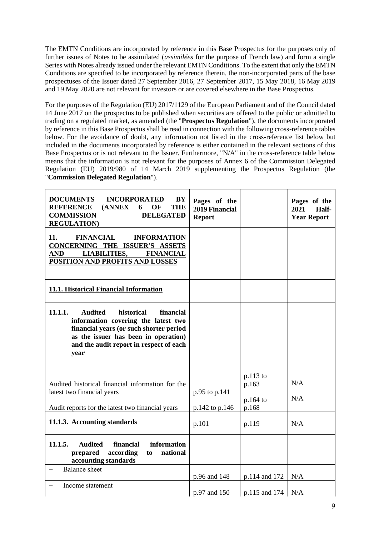The EMTN Conditions are incorporated by reference in this Base Prospectus for the purposes only of further issues of Notes to be assimilated (*assimilées* for the purpose of French law) and form a single Series with Notes already issued under the relevant EMTN Conditions. To the extent that only the EMTN Conditions are specified to be incorporated by reference therein, the non-incorporated parts of the base prospectuses of the Issuer dated 27 September 2016, 27 September 2017, 15 May 2018, 16 May 2019 and 19 May 2020 are not relevant for investors or are covered elsewhere in the Base Prospectus.

For the purposes of the Regulation (EU) 2017/1129 of the European Parliament and of the Council dated 14 June 2017 on the prospectus to be published when securities are offered to the public or admitted to trading on a regulated market, as amended (the "**Prospectus Regulation**"), the documents incorporated by reference in this Base Prospectus shall be read in connection with the following cross-reference tables below. For the avoidance of doubt, any information not listed in the cross-reference list below but included in the documents incorporated by reference is either contained in the relevant sections of this Base Prospectus or is not relevant to the Issuer. Furthermore, "N/A" in the cross-reference table below means that the information is not relevant for the purposes of Annex 6 of the Commission Delegated Regulation (EU) 2019/980 of 14 March 2019 supplementing the Prospectus Regulation (the "**Commission Delegated Regulation**").

| <b>DOCUMENTS</b><br>BY<br><b>INCORPORATED</b><br><b>REFERENCE</b><br>(ANNEX)<br><b>THE</b><br>OF<br>6<br><b>COMMISSION</b><br><b>DELEGATED</b><br><b>REGULATION</b> )                                                             | Pages of the<br>2019 Financial<br><b>Report</b> |                                            | Pages of the<br>2021<br>Half-<br><b>Year Report</b> |
|-----------------------------------------------------------------------------------------------------------------------------------------------------------------------------------------------------------------------------------|-------------------------------------------------|--------------------------------------------|-----------------------------------------------------|
| <b>FINANCIAL</b><br>11.<br><b>INFORMATION</b><br>CONCERNING THE ISSUER'S ASSETS<br><b>LIABILITIES,</b><br><b>FINANCIAL</b><br>AND<br>POSITION AND PROFITS AND LOSSES                                                              |                                                 |                                            |                                                     |
| 11.1. Historical Financial Information                                                                                                                                                                                            |                                                 |                                            |                                                     |
| 11.1.1.<br><b>Audited</b><br>historical<br>financial<br>information covering the latest two<br>financial years (or such shorter period<br>as the issuer has been in operation)<br>and the audit report in respect of each<br>year |                                                 |                                            |                                                     |
| Audited historical financial information for the<br>latest two financial years<br>Audit reports for the latest two financial years                                                                                                | p.95 to p.141<br>p.142 to p.146                 | $p.113$ to<br>p.163<br>$p.164$ to<br>p.168 | N/A<br>N/A                                          |
| 11.1.3. Accounting standards                                                                                                                                                                                                      | p.101                                           | p.119                                      | N/A                                                 |
| information<br>11.1.5.<br><b>Audited</b><br>financial<br>according<br>national<br>prepared<br>to<br>accounting standards                                                                                                          |                                                 |                                            |                                                     |
| <b>Balance</b> sheet                                                                                                                                                                                                              | p.96 and 148                                    | p.114 and 172                              | N/A                                                 |
| Income statement                                                                                                                                                                                                                  | p.97 and 150                                    | p.115 and 174                              | N/A                                                 |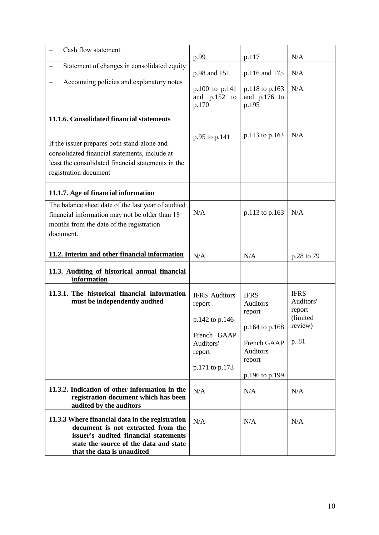| Cash flow statement                                                                                                                                                                                    | p.99                                                                                                      | p.117                                                                                                        | N/A                                                                |
|--------------------------------------------------------------------------------------------------------------------------------------------------------------------------------------------------------|-----------------------------------------------------------------------------------------------------------|--------------------------------------------------------------------------------------------------------------|--------------------------------------------------------------------|
| Statement of changes in consolidated equity                                                                                                                                                            | p.98 and 151                                                                                              | p.116 and 175                                                                                                | N/A                                                                |
| Accounting policies and explanatory notes                                                                                                                                                              | p.100 to p.141<br>and p.152 to<br>p.170                                                                   | p.118 to p.163<br>and p.176 to<br>p.195                                                                      | N/A                                                                |
| 11.1.6. Consolidated financial statements                                                                                                                                                              |                                                                                                           |                                                                                                              |                                                                    |
| If the issuer prepares both stand-alone and<br>consolidated financial statements, include at<br>least the consolidated financial statements in the<br>registration document                            | p.95 to p.141                                                                                             | p.113 to p.163                                                                                               | N/A                                                                |
| 11.1.7. Age of financial information                                                                                                                                                                   |                                                                                                           |                                                                                                              |                                                                    |
| The balance sheet date of the last year of audited<br>financial information may not be older than 18<br>months from the date of the registration<br>document.                                          | N/A                                                                                                       | p.113 to p.163                                                                                               | N/A                                                                |
| 11.2. Interim and other financial information                                                                                                                                                          | N/A                                                                                                       | N/A                                                                                                          | p.28 to 79                                                         |
| 11.3. Auditing of historical annual financial<br>information                                                                                                                                           |                                                                                                           |                                                                                                              |                                                                    |
| 11.3.1. The historical financial information<br>must be independently audited                                                                                                                          | <b>IFRS</b> Auditors'<br>report<br>p.142 to p.146<br>French GAAP<br>Auditors'<br>report<br>p.171 to p.173 | <b>IFRS</b><br>Auditors'<br>report<br>p.164 to p.168<br>French GAAP<br>Auditors'<br>report<br>p.196 to p.199 | <b>IFRS</b><br>Auditors'<br>report<br>(limited<br>review)<br>p. 81 |
| 11.3.2. Indication of other information in the<br>registration document which has been<br>audited by the auditors                                                                                      | N/A                                                                                                       | N/A                                                                                                          | N/A                                                                |
| 11.3.3 Where financial data in the registration<br>document is not extracted from the<br>issuer's audited financial statements<br>state the source of the data and state<br>that the data is unaudited | N/A                                                                                                       | N/A                                                                                                          | N/A                                                                |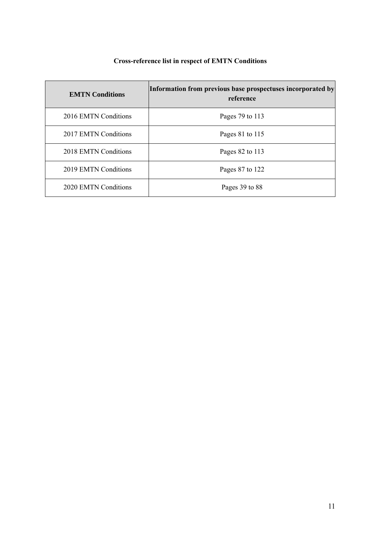# **Cross-reference list in respect of EMTN Conditions**

| <b>EMTN</b> Conditions | Information from previous base prospectuses incorporated by<br>reference |
|------------------------|--------------------------------------------------------------------------|
| 2016 EMTN Conditions   | Pages 79 to 113                                                          |
| 2017 EMTN Conditions   | Pages 81 to 115                                                          |
| 2018 EMTN Conditions   | Pages 82 to 113                                                          |
| 2019 EMTN Conditions   | Pages 87 to 122                                                          |
| 2020 EMTN Conditions   | Pages 39 to 88                                                           |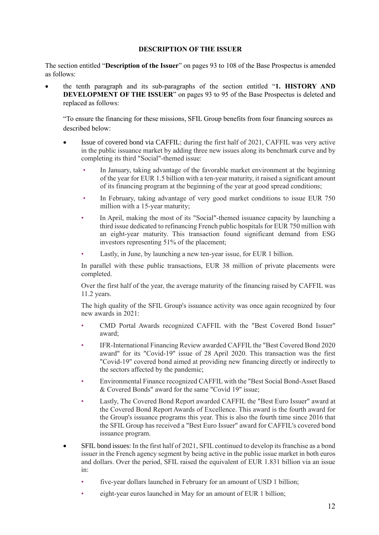## **DESCRIPTION OF THE ISSUER**

<span id="page-11-0"></span>The section entitled "**Description of the Issuer**" on pages 93 to 108 of the Base Prospectus is amended as follows:

• the tenth paragraph and its sub-paragraphs of the section entitled "**1. HISTORY AND DEVELOPMENT OF THE ISSUER**" on pages 93 to 95 of the Base Prospectus is deleted and replaced as follows:

"To ensure the financing for these missions, SFIL Group benefits from four financing sources as described below:

- Issue of covered bond via CAFFIL: during the first half of 2021, CAFFIL was very active in the public issuance market by adding three new issues along its benchmark curve and by completing its third "Social"-themed issue:
	- In January, taking advantage of the favorable market environment at the beginning of the year for EUR 1.5 billion with a ten-year maturity, it raised a significant amount of its financing program at the beginning of the year at good spread conditions;
	- In February, taking advantage of very good market conditions to issue EUR 750 million with a 15-year maturity;
	- In April, making the most of its "Social"-themed issuance capacity by launching a third issue dedicated to refinancing French public hospitals for EUR 750 million with an eight-year maturity. This transaction found significant demand from ESG investors representing 51% of the placement;
	- Lastly, in June, by launching a new ten-year issue, for EUR 1 billion.

In parallel with these public transactions, EUR 38 million of private placements were completed.

Over the first half of the year, the average maturity of the financing raised by CAFFIL was 11.2 years.

The high quality of the SFIL Group's issuance activity was once again recognized by four new awards in 2021:

- CMD Portal Awards recognized CAFFIL with the "Best Covered Bond Issuer" award;
- IFR-International Financing Review awarded CAFFIL the "Best Covered Bond 2020 award" for its "Covid-19" issue of 28 April 2020. This transaction was the first "Covid-19" covered bond aimed at providing new financing directly or indirectly to the sectors affected by the pandemic;
- Environmental Finance recognized CAFFIL with the "Best Social Bond-Asset Based & Covered Bonds" award for the same "Covid 19" issue;
- Lastly, The Covered Bond Report awarded CAFFIL the "Best Euro Issuer" award at the Covered Bond Report Awards of Excellence. This award is the fourth award for the Group's issuance programs this year. This is also the fourth time since 2016 that the SFIL Group has received a "Best Euro Issuer" award for CAFFIL's covered bond issuance program.
- SFIL bond issues: In the first half of 2021, SFIL continued to develop its franchise as a bond issuer in the French agency segment by being active in the public issue market in both euros and dollars. Over the period, SFIL raised the equivalent of EUR 1.831 billion via an issue in:
	- five-year dollars launched in February for an amount of USD 1 billion;
	- eight-year euros launched in May for an amount of EUR 1 billion;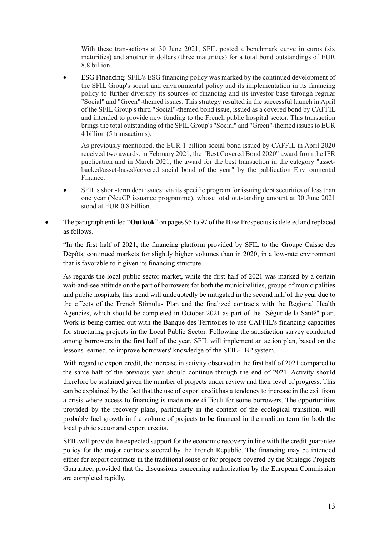With these transactions at 30 June 2021, SFIL posted a benchmark curve in euros (six maturities) and another in dollars (three maturities) for a total bond outstandings of EUR 8.8 billion.

• ESG Financing: SFIL's ESG financing policy was marked by the continued development of the SFIL Group's social and environmental policy and its implementation in its financing policy to further diversify its sources of financing and its investor base through regular "Social" and "Green"-themed issues. This strategy resulted in the successful launch in April of the SFIL Group's third "Social"-themed bond issue, issued as a covered bond by CAFFIL and intended to provide new funding to the French public hospital sector. This transaction brings the total outstanding of the SFIL Group's "Social" and "Green"-themed issues to EUR 4 billion (5 transactions).

As previously mentioned, the EUR 1 billion social bond issued by CAFFIL in April 2020 received two awards: in February 2021, the "Best Covered Bond 2020" award from the IFR publication and in March 2021, the award for the best transaction in the category "assetbacked/asset-based/covered social bond of the year" by the publication Environmental Finance.

- SFIL's short-term debt issues: via its specific program for issuing debt securities of less than one year (NeuCP issuance programme), whose total outstanding amount at 30 June 2021 stood at EUR 0.8 billion.
- The paragraph entitled "**Outlook**" on pages 95 to 97 of the Base Prospectusis deleted and replaced as follows.

"In the first half of 2021, the financing platform provided by SFIL to the Groupe Caisse des Dépôts, continued markets for slightly higher volumes than in 2020, in a low-rate environment that is favorable to it given its financing structure.

As regards the local public sector market, while the first half of 2021 was marked by a certain wait-and-see attitude on the part of borrowers for both the municipalities, groups of municipalities and public hospitals, this trend will undoubtedly be mitigated in the second half of the year due to the effects of the French Stimulus Plan and the finalized contracts with the Regional Health Agencies, which should be completed in October 2021 as part of the "Ségur de la Santé" plan. Work is being carried out with the Banque des Territoires to use CAFFIL's financing capacities for structuring projects in the Local Public Sector. Following the satisfaction survey conducted among borrowers in the first half of the year, SFIL will implement an action plan, based on the lessons learned, to improve borrowers' knowledge of the SFIL-LBP system.

With regard to export credit, the increase in activity observed in the first half of 2021 compared to the same half of the previous year should continue through the end of 2021. Activity should therefore be sustained given the number of projects under review and their level of progress. This can be explained by the fact that the use of export credit has a tendency to increase in the exit from a crisis where access to financing is made more difficult for some borrowers. The opportunities provided by the recovery plans, particularly in the context of the ecological transition, will probably fuel growth in the volume of projects to be financed in the medium term for both the local public sector and export credits.

SFIL will provide the expected support for the economic recovery in line with the credit guarantee policy for the major contracts steered by the French Republic. The financing may be intended either for export contracts in the traditional sense or for projects covered by the Strategic Projects Guarantee, provided that the discussions concerning authorization by the European Commission are completed rapidly.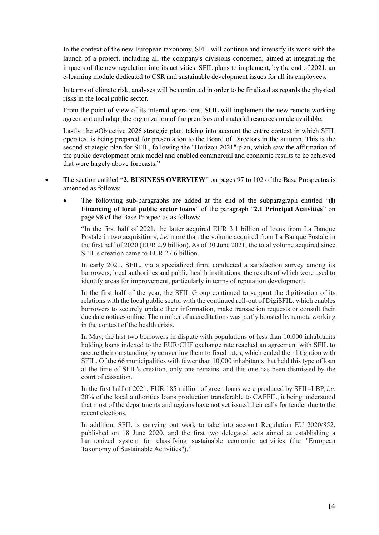In the context of the new European taxonomy, SFIL will continue and intensify its work with the launch of a project, including all the company's divisions concerned, aimed at integrating the impacts of the new regulation into its activities. SFIL plans to implement, by the end of 2021, an e-learning module dedicated to CSR and sustainable development issues for all its employees.

In terms of climate risk, analyses will be continued in order to be finalized as regards the physical risks in the local public sector.

From the point of view of its internal operations, SFIL will implement the new remote working agreement and adapt the organization of the premises and material resources made available.

Lastly, the #Objective 2026 strategic plan, taking into account the entire context in which SFIL operates, is being prepared for presentation to the Board of Directors in the autumn. This is the second strategic plan for SFIL, following the "Horizon 2021" plan, which saw the affirmation of the public development bank model and enabled commercial and economic results to be achieved that were largely above forecasts."

- The section entitled "**2. BUSINESS OVERVIEW**" on pages 97 to 102 of the Base Prospectus is amended as follows:
	- The following sub-paragraphs are added at the end of the subparagraph entitled "**(i) Financing of local public sector loans**" of the paragraph "**2.1 Principal Activities**" on page 98 of the Base Prospectus as follows:

"In the first half of 2021, the latter acquired EUR 3.1 billion of loans from La Banque Postale in two acquisitions, *i.e.* more than the volume acquired from La Banque Postale in the first half of 2020 (EUR 2.9 billion). As of 30 June 2021, the total volume acquired since SFIL's creation came to EUR 27.6 billion.

In early 2021, SFIL, via a specialized firm, conducted a satisfaction survey among its borrowers, local authorities and public health institutions, the results of which were used to identify areas for improvement, particularly in terms of reputation development.

In the first half of the year, the SFIL Group continued to support the digitization of its relations with the local public sector with the continued roll-out of DigiSFIL, which enables borrowers to securely update their information, make transaction requests or consult their due date notices online. The number of accreditations was partly boosted by remote working in the context of the health crisis.

In May, the last two borrowers in dispute with populations of less than 10,000 inhabitants holding loans indexed to the EUR/CHF exchange rate reached an agreement with SFIL to secure their outstanding by converting them to fixed rates, which ended their litigation with SFIL. Of the 66 municipalities with fewer than 10,000 inhabitants that held this type of loan at the time of SFIL's creation, only one remains, and this one has been dismissed by the court of cassation.

In the first half of 2021, EUR 185 million of green loans were produced by SFIL-LBP, *i.e.*  20% of the local authorities loans production transferable to CAFFIL, it being understood that most of the departments and regions have not yet issued their calls for tender due to the recent elections.

In addition, SFIL is carrying out work to take into account Regulation EU 2020/852, published on 18 June 2020, and the first two delegated acts aimed at establishing a harmonized system for classifying sustainable economic activities (the "European Taxonomy of Sustainable Activities")."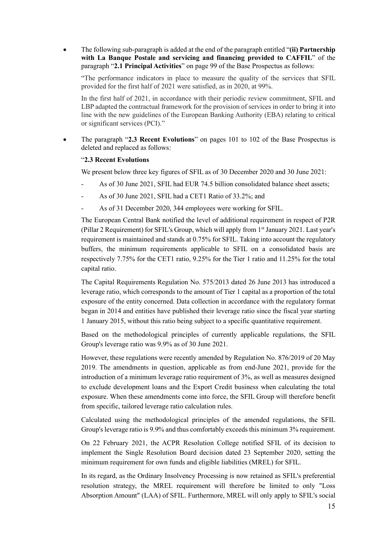• The following sub-paragraph is added at the end of the paragraph entitled "**(ii) Partnership with La Banque Postale and servicing and financing provided to CAFFIL**" of the paragraph "**2.1 Principal Activities**" on page 99 of the Base Prospectus as follows:

"The performance indicators in place to measure the quality of the services that SFIL provided for the first half of 2021 were satisfied, as in 2020, at 99%.

In the first half of 2021, in accordance with their periodic review commitment, SFIL and LBP adapted the contractual framework for the provision of services in order to bring it into line with the new guidelines of the European Banking Authority (EBA) relating to critical or significant services (PCI)."

• The paragraph "**2.3 Recent Evolutions**" on pages 101 to 102 of the Base Prospectus is deleted and replaced as follows:

## "**2.3 Recent Evolutions**

We present below three key figures of SFIL as of 30 December 2020 and 30 June 2021:

- As of 30 June 2021, SFIL had EUR 74.5 billion consolidated balance sheet assets;
- As of 30 June 2021, SFIL had a CET1 Ratio of 33.2%; and
- As of 31 December 2020, 344 employees were working for SFIL.

The European Central Bank notified the level of additional requirement in respect of P2R (Pillar 2 Requirement) for SFIL's Group, which will apply from  $1<sup>st</sup>$  January 2021. Last year's requirement is maintained and stands at 0.75% for SFIL. Taking into account the regulatory buffers, the minimum requirements applicable to SFIL on a consolidated basis are respectively 7.75% for the CET1 ratio, 9.25% for the Tier 1 ratio and 11.25% for the total capital ratio.

The Capital Requirements Regulation No. 575/2013 dated 26 June 2013 has introduced a leverage ratio, which corresponds to the amount of Tier 1 capital as a proportion of the total exposure of the entity concerned. Data collection in accordance with the regulatory format began in 2014 and entities have published their leverage ratio since the fiscal year starting 1 January 2015, without this ratio being subject to a specific quantitative requirement.

Based on the methodological principles of currently applicable regulations, the SFIL Group's leverage ratio was 9.9% as of 30 June 2021.

However, these regulations were recently amended by Regulation No. 876/2019 of 20 May 2019. The amendments in question, applicable as from end-June 2021, provide for the introduction of a minimum leverage ratio requirement of 3%, as well as measures designed to exclude development loans and the Export Credit business when calculating the total exposure. When these amendments come into force, the SFIL Group will therefore benefit from specific, tailored leverage ratio calculation rules.

Calculated using the methodological principles of the amended regulations, the SFIL Group's leverage ratio is 9.9% and thus comfortably exceeds this minimum 3% requirement.

On 22 February 2021, the ACPR Resolution College notified SFIL of its decision to implement the Single Resolution Board decision dated 23 September 2020, setting the minimum requirement for own funds and eligible liabilities (MREL) for SFIL.

In its regard, as the Ordinary Insolvency Processing is now retained as SFIL's preferential resolution strategy, the MREL requirement will therefore be limited to only "Loss Absorption Amount" (LAA) of SFIL. Furthermore, MREL will only apply to SFIL's social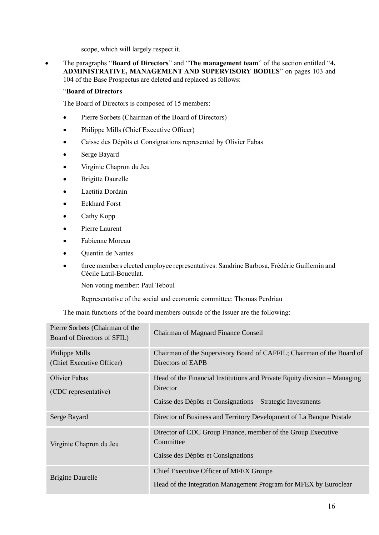scope, which will largely respect it.

• The paragraphs "**Board of Directors**" and "**The management team**" of the section entitled "**4. ADMINISTRATIVE, MANAGEMENT AND SUPERVISORY BODIES**" on pages 103 and 104 of the Base Prospectus are deleted and replaced as follows:

## "**Board of Directors**

The Board of Directors is composed of 15 members:

- Pierre Sorbets (Chairman of the Board of Directors)
- Philippe Mills (Chief Executive Officer)
- Caisse des Dépôts et Consignations represented by Olivier Fabas
- Serge Bayard
- Virginie Chapron du Jeu
- **Brigitte Daurelle**
- Laetitia Dordain
- Eckhard Forst
- Cathy Kopp
- Pierre Laurent
- Fabienne Moreau
- Quentin de Nantes
- three members elected employee representatives: Sandrine Barbosa, Frédéric Guillemin and Cécile Latil-Bouculat.

Non voting member: Paul Teboul

Representative of the social and economic committee: Thomas Perdriau

The main functions of the board members outside of the Issuer are the following:

| Pierre Sorbets (Chairman of the<br>Board of Directors of SFIL) | Chairman of Magnard Finance Conseil                                                                                                                 |
|----------------------------------------------------------------|-----------------------------------------------------------------------------------------------------------------------------------------------------|
| Philippe Mills<br>(Chief Executive Officer)                    | Chairman of the Supervisory Board of CAFFIL; Chairman of the Board of<br>Directors of EAPB                                                          |
| Olivier Fabas<br>(CDC representative)                          | Head of the Financial Institutions and Private Equity division – Managing<br>Director<br>Caisse des Dépôts et Consignations – Strategic Investments |
| Serge Bayard                                                   | Director of Business and Territory Development of La Banque Postale                                                                                 |
| Virginie Chapron du Jeu                                        | Director of CDC Group Finance, member of the Group Executive<br>Committee<br>Caisse des Dépôts et Consignations                                     |
| <b>Brigitte Daurelle</b>                                       | Chief Executive Officer of MFEX Groupe<br>Head of the Integration Management Program for MFEX by Euroclear                                          |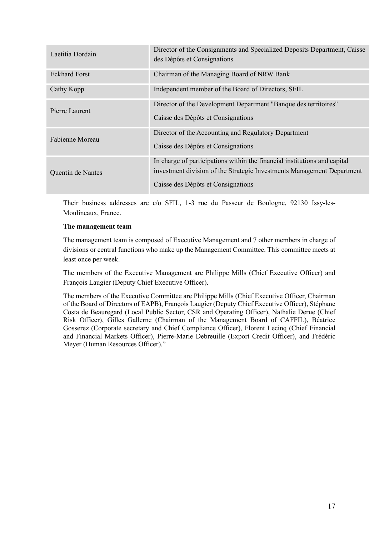| Laetitia Dordain     | Director of the Consignments and Specialized Deposits Department, Caisse<br>des Dépôts et Consignations                                                                                   |
|----------------------|-------------------------------------------------------------------------------------------------------------------------------------------------------------------------------------------|
| <b>Eckhard Forst</b> | Chairman of the Managing Board of NRW Bank                                                                                                                                                |
| Cathy Kopp           | Independent member of the Board of Directors, SFIL                                                                                                                                        |
| Pierre Laurent       | Director of the Development Department "Banque des territoires"<br>Caisse des Dépôts et Consignations                                                                                     |
| Fabienne Moreau      | Director of the Accounting and Regulatory Department<br>Caisse des Dépôts et Consignations                                                                                                |
| Quentin de Nantes    | In charge of participations within the financial institutions and capital<br>investment division of the Strategic Investments Management Department<br>Caisse des Dépôts et Consignations |

Their business addresses are c/o SFIL, 1-3 rue du Passeur de Boulogne, 92130 Issy-les-Moulineaux, France.

## **The management team**

The management team is composed of Executive Management and 7 other members in charge of divisions or central functions who make up the Management Committee. This committee meets at least once per week.

The members of the Executive Management are Philippe Mills (Chief Executive Officer) and François Laugier (Deputy Chief Executive Officer).

The members of the Executive Committee are Philippe Mills (Chief Executive Officer, Chairman of the Board of Directors of EAPB), François Laugier (Deputy Chief Executive Officer), Stéphane Costa de Beauregard (Local Public Sector, CSR and Operating Officer), Nathalie Derue (Chief Risk Officer), Gilles Gallerne (Chairman of the Management Board of CAFFIL), Béatrice Gosserez (Corporate secretary and Chief Compliance Officer), Florent Lecinq (Chief Financial and Financial Markets Officer), Pierre-Marie Debreuille (Export Credit Officer), and Frédéric Meyer (Human Resources Officer)."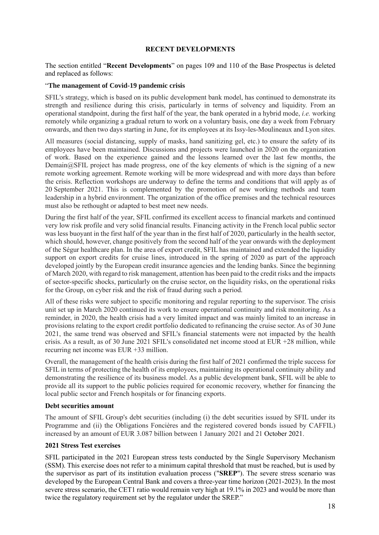## **RECENT DEVELOPMENTS**

<span id="page-17-0"></span>The section entitled "**Recent Developments**" on pages 109 and 110 of the Base Prospectus is deleted and replaced as follows:

## "**The management of Covid-19 pandemic crisis**

SFIL's strategy, which is based on its public development bank model, has continued to demonstrate its strength and resilience during this crisis, particularly in terms of solvency and liquidity. From an operational standpoint, during the first half of the year, the bank operated in a hybrid mode, *i.e.* working remotely while organizing a gradual return to work on a voluntary basis, one day a week from February onwards, and then two days starting in June, for its employees at its Issy-les-Moulineaux and Lyon sites.

All measures (social distancing, supply of masks, hand sanitizing gel, etc.) to ensure the safety of its employees have been maintained. Discussions and projects were launched in 2020 on the organization of work. Based on the experience gained and the lessons learned over the last few months, the Demain $@SFIL$  project has made progress, one of the key elements of which is the signing of a new remote working agreement. Remote working will be more widespread and with more days than before the crisis. Reflection workshops are underway to define the terms and conditions that will apply as of 20 September 2021. This is complemented by the promotion of new working methods and team leadership in a hybrid environment. The organization of the office premises and the technical resources must also be rethought or adapted to best meet new needs.

During the first half of the year, SFIL confirmed its excellent access to financial markets and continued very low risk profile and very solid financial results. Financing activity in the French local public sector was less buoyant in the first half of the year than in the first half of 2020, particularly in the health sector, which should, however, change positively from the second half of the year onwards with the deployment of the Ségur healthcare plan. In the area of export credit, SFIL has maintained and extended the liquidity support on export credits for cruise lines, introduced in the spring of 2020 as part of the approach developed jointly by the European credit insurance agencies and the lending banks. Since the beginning of March 2020, with regard to risk management, attention has been paid to the credit risks and the impacts of sector-specific shocks, particularly on the cruise sector, on the liquidity risks, on the operational risks for the Group, on cyber risk and the risk of fraud during such a period.

All of these risks were subject to specific monitoring and regular reporting to the supervisor. The crisis unit set up in March 2020 continued its work to ensure operational continuity and risk monitoring. As a reminder, in 2020, the health crisis had a very limited impact and was mainly limited to an increase in provisions relating to the export credit portfolio dedicated to refinancing the cruise sector. As of 30 June 2021, the same trend was observed and SFIL's financial statements were not impacted by the health crisis. As a result, as of 30 June 2021 SFIL's consolidated net income stood at EUR +28 million, while recurring net income was EUR +33 million.

Overall, the management of the health crisis during the first half of 2021 confirmed the triple success for SFIL in terms of protecting the health of its employees, maintaining its operational continuity ability and demonstrating the resilience of its business model. As a public development bank, SFIL will be able to provide all its support to the public policies required for economic recovery, whether for financing the local public sector and French hospitals or for financing exports.

#### **Debt securities amount**

The amount of SFIL Group's debt securities (including (i) the debt securities issued by SFIL under its Programme and (ii) the Obligations Foncières and the registered covered bonds issued by CAFFIL) increased by an amount of EUR 3.087 billion between 1 January 2021 and 21 October 2021.

#### **2021 Stress Test exercises**

SFIL participated in the 2021 European stress tests conducted by the Single Supervisory Mechanism (SSM). This exercise does not refer to a minimum capital threshold that must be reached, but is used by the supervisor as part of its institution evaluation process ("**SREP**"). The severe stress scenario was developed by the European Central Bank and covers a three-year time horizon (2021-2023). In the most severe stress scenario, the CET1 ratio would remain very high at 19.1% in 2023 and would be more than twice the regulatory requirement set by the regulator under the SREP."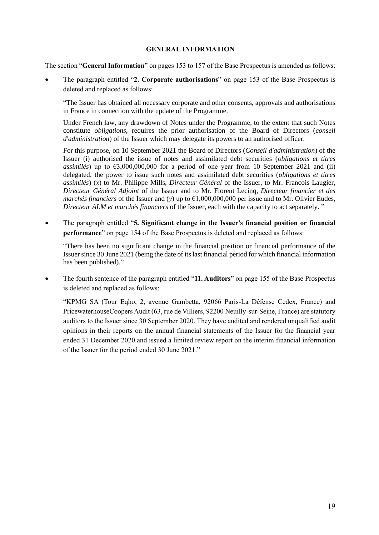## **GENERAL INFORMATION**

<span id="page-18-0"></span>The section "**General Information**" on pages 153 to 157 of the Base Prospectus is amended as follows:

• The paragraph entitled "**2. Corporate authorisations**" on page 153 of the Base Prospectus is deleted and replaced as follows:

"The Issuer has obtained all necessary corporate and other consents, approvals and authorisations in France in connection with the update of the Programme.

Under French law, any drawdown of Notes under the Programme, to the extent that such Notes constitute *obligations*, requires the prior authorisation of the Board of Directors (*conseil d'administration*) of the Issuer which may delegate its powers to an authorised officer.

For this purpose, on 10 September 2021 the Board of Directors (*Conseil d'administration*) of the Issuer (i) authorised the issue of notes and assimilated debt securities (*obligations et titres assimilés*) up to  $63,000,000,000$  for a period of one year from 10 September 2021 and (ii) delegated, the power to issue such notes and assimilated debt securities (*obligations et titres assimilés*) (*x*) to Mr. Philippe Mills, *Directeur Général* of the Issuer, to Mr. Francois Laugier, *Directeur Général Adjoint* of the Issuer and to Mr. Florent Lecinq, *Directeur financier et des marchés financiers* of the Issuer and (*y*) up to €1,000,000,000 per issue and to Mr. Olivier Eudes, *Directeur ALM et marchés financiers* of the Issuer, each with the capacity to act separately. "

• The paragraph entitled "**5. Significant change in the Issuer's financial position or financial performance**" on page 154 of the Base Prospectus is deleted and replaced as follows:

"There has been no significant change in the financial position or financial performance of the Issuer since 30 June 2021 (being the date of its last financial period for which financial information has been published)."

• The fourth sentence of the paragraph entitled "**11. Auditors**" on page 155 of the Base Prospectus is deleted and replaced as follows:

"KPMG SA (Tour Eqho, 2, avenue Gambetta, 92066 Paris-La Défense Cedex, France) and PricewaterhouseCoopers Audit (63, rue de Villiers, 92200 Neuilly-sur-Seine, France) are statutory auditors to the Issuer since 30 September 2020. They have audited and rendered unqualified audit opinions in their reports on the annual financial statements of the Issuer for the financial year ended 31 December 2020 and issued a limited review report on the interim financial information of the Issuer for the period ended 30 June 2021."